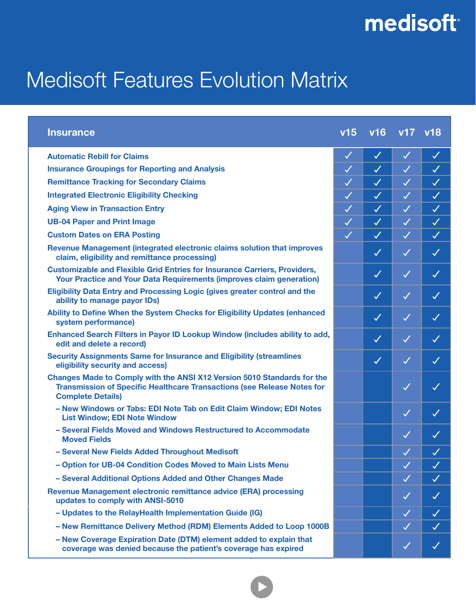## medisoft<sup>®</sup>

## Medisoft Features Evolution Matrix

| <b>Insurance</b>                                                                                                                                                                             | v15          | v <sub>16</sub> | v17 v18              |              |
|----------------------------------------------------------------------------------------------------------------------------------------------------------------------------------------------|--------------|-----------------|----------------------|--------------|
| <b>Automatic Rebill for Claims</b>                                                                                                                                                           | $\checkmark$ | $\checkmark$    | $\blacktriangledown$ | $\checkmark$ |
| <b>Insurance Groupings for Reporting and Analysis</b>                                                                                                                                        | $\checkmark$ | $\checkmark$    | $\blacktriangledown$ | $\checkmark$ |
| <b>Remittance Tracking for Secondary Claims</b>                                                                                                                                              | $\checkmark$ | $\checkmark$    | $\checkmark$         | $\checkmark$ |
| <b>Integrated Electronic Eligibility Checking</b>                                                                                                                                            | $\checkmark$ | $\checkmark$    | $\checkmark$         | $\checkmark$ |
| <b>Aging View in Transaction Entry</b>                                                                                                                                                       | $\checkmark$ | $\checkmark$    | $\checkmark$         | $\checkmark$ |
| <b>UB-04 Paper and Print Image</b>                                                                                                                                                           | $\checkmark$ | $\checkmark$    | $\checkmark$         | $\checkmark$ |
| <b>Custom Dates on ERA Posting</b>                                                                                                                                                           | $\checkmark$ | $\checkmark$    | $\blacktriangledown$ | $\checkmark$ |
| Revenue Management (integrated electronic claims solution that improves<br>claim, eligibility and remittance processing)                                                                     |              | $\checkmark$    | $\checkmark$         | $\checkmark$ |
| <b>Customizable and Flexible Grid Entries for Insurance Carriers, Providers,</b><br><b>Your Practice and Your Data Requirements (improves claim generation)</b>                              |              | $\checkmark$    | $\checkmark$         | $\checkmark$ |
| <b>Eligibility Data Entry and Processing Logic (gives greater control and the</b><br>ability to manage payor IDs)                                                                            |              | $\checkmark$    | $\checkmark$         | $\checkmark$ |
| Ability to Define When the System Checks for Eligibility Updates (enhanced<br>system performance)                                                                                            |              | $\checkmark$    | $\checkmark$         | $\checkmark$ |
| Enhanced Search Filters in Payor ID Lookup Window (includes ability to add,<br>edit and delete a record)                                                                                     |              | $\checkmark$    | $\checkmark$         | $\checkmark$ |
| <b>Security Assignments Same for Insurance and Eligibility (streamlines</b><br>eligibility security and access)                                                                              |              | $\checkmark$    | $\checkmark$         | $\checkmark$ |
| <b>Changes Made to Comply with the ANSI X12 Version 5010 Standards for the</b><br><b>Transmission of Specific Healthcare Transactions (see Release Notes for</b><br><b>Complete Details)</b> |              |                 | $\checkmark$         | $\checkmark$ |
| - New Windows or Tabs: EDI Note Tab on Edit Claim Window; EDI Notes<br><b>List Window; EDI Note Window</b>                                                                                   |              |                 | $\checkmark$         | $\checkmark$ |
| - Several Fields Moved and Windows Restructured to Accommodate<br><b>Moved Fields</b>                                                                                                        |              |                 | $\checkmark$         | $\checkmark$ |
| - Several New Fields Added Throughout Medisoft                                                                                                                                               |              |                 | $\checkmark$         | $\checkmark$ |
| - Option for UB-04 Condition Codes Moved to Main Lists Menu                                                                                                                                  |              |                 | $\checkmark$         | $\checkmark$ |
| - Several Additional Options Added and Other Changes Made                                                                                                                                    |              |                 | $\checkmark$         | $\checkmark$ |
| Revenue Management electronic remittance advice (ERA) processing<br>updates to comply with ANSI-5010                                                                                         |              |                 | $\checkmark$         | $\checkmark$ |
| - Updates to the RelayHealth Implementation Guide (IG)                                                                                                                                       |              |                 | $\checkmark$         | $\checkmark$ |
| - New Remittance Delivery Method (RDM) Elements Added to Loop 1000B                                                                                                                          |              |                 | $\checkmark$         | $\checkmark$ |
| - New Coverage Expiration Date (DTM) element added to explain that<br>coverage was denied because the patient's coverage has expired                                                         |              |                 | $\checkmark$         | $\checkmark$ |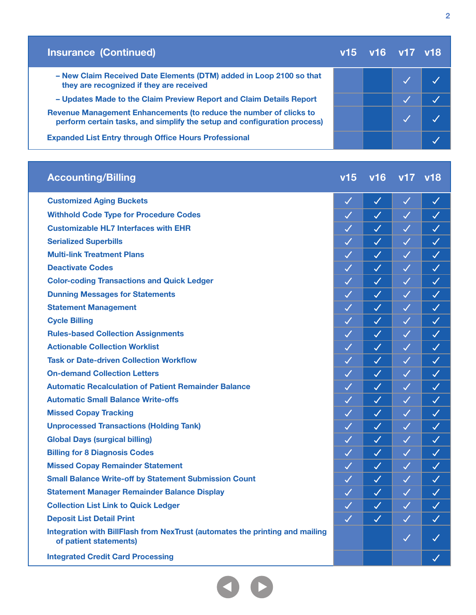| <b>Insurance (Continued)</b>                                                                                                                   | v15 v16 v17 v18 |  |
|------------------------------------------------------------------------------------------------------------------------------------------------|-----------------|--|
| - New Claim Received Date Elements (DTM) added in Loop 2100 so that<br>they are recognized if they are received                                |                 |  |
| - Updates Made to the Claim Preview Report and Claim Details Report                                                                            |                 |  |
| Revenue Management Enhancements (to reduce the number of clicks to<br>perform certain tasks, and simplify the setup and configuration process) |                 |  |
| <b>Expanded List Entry through Office Hours Professional</b>                                                                                   |                 |  |

| <b>Accounting/Billing</b>                                                                              | v15          | v16          | v17          | v18          |
|--------------------------------------------------------------------------------------------------------|--------------|--------------|--------------|--------------|
| <b>Customized Aging Buckets</b>                                                                        | $\checkmark$ | $\checkmark$ | $\sqrt{}$    | $\checkmark$ |
| <b>Withhold Code Type for Procedure Codes</b>                                                          | $\checkmark$ | $\checkmark$ | $\checkmark$ | $\checkmark$ |
| <b>Customizable HL7 Interfaces with EHR</b>                                                            | $\checkmark$ | $\checkmark$ | $\checkmark$ | $\checkmark$ |
| <b>Serialized Superbills</b>                                                                           | $\checkmark$ | $\checkmark$ | $\checkmark$ | $\checkmark$ |
| <b>Multi-link Treatment Plans</b>                                                                      | $\sqrt{}$    | $\checkmark$ | $\checkmark$ | $\checkmark$ |
| <b>Deactivate Codes</b>                                                                                | $\checkmark$ | $\checkmark$ | $\checkmark$ | $\checkmark$ |
| <b>Color-coding Transactions and Quick Ledger</b>                                                      | $\checkmark$ | $\checkmark$ | $\checkmark$ | $\checkmark$ |
| <b>Dunning Messages for Statements</b>                                                                 | $\checkmark$ | $\checkmark$ | $\checkmark$ | $\checkmark$ |
| <b>Statement Management</b>                                                                            | $\checkmark$ | $\checkmark$ | $\checkmark$ | $\checkmark$ |
| <b>Cycle Billing</b>                                                                                   | $\checkmark$ | $\checkmark$ | $\checkmark$ | $\checkmark$ |
| <b>Rules-based Collection Assignments</b>                                                              | $\checkmark$ | $\checkmark$ | $\checkmark$ | $\checkmark$ |
| <b>Actionable Collection Worklist</b>                                                                  | $\checkmark$ | $\checkmark$ | $\checkmark$ | $\checkmark$ |
| <b>Task or Date-driven Collection Workflow</b>                                                         | $\checkmark$ | $\checkmark$ | $\checkmark$ | $\checkmark$ |
| <b>On-demand Collection Letters</b>                                                                    | $\checkmark$ | $\checkmark$ | $\checkmark$ | $\checkmark$ |
| <b>Automatic Recalculation of Patient Remainder Balance</b>                                            | $\checkmark$ | $\checkmark$ | $\checkmark$ | $\checkmark$ |
| <b>Automatic Small Balance Write-offs</b>                                                              | $\checkmark$ | $\checkmark$ | $\checkmark$ | $\checkmark$ |
| <b>Missed Copay Tracking</b>                                                                           | $\checkmark$ | $\checkmark$ | $\checkmark$ | $\checkmark$ |
| <b>Unprocessed Transactions (Holding Tank)</b>                                                         | $\checkmark$ | $\checkmark$ | $\checkmark$ | $\checkmark$ |
| <b>Global Days (surgical billing)</b>                                                                  | $\checkmark$ | $\checkmark$ | $\checkmark$ | $\checkmark$ |
| <b>Billing for 8 Diagnosis Codes</b>                                                                   | $\checkmark$ | $\checkmark$ | $\checkmark$ | $\checkmark$ |
| <b>Missed Copay Remainder Statement</b>                                                                | $\checkmark$ | $\checkmark$ | $\checkmark$ | $\checkmark$ |
| <b>Small Balance Write-off by Statement Submission Count</b>                                           | $\checkmark$ | $\checkmark$ | $\checkmark$ | $\checkmark$ |
| <b>Statement Manager Remainder Balance Display</b>                                                     | $\checkmark$ | $\checkmark$ | $\sqrt{}$    | $\checkmark$ |
| <b>Collection List Link to Quick Ledger</b>                                                            | $\checkmark$ | $\checkmark$ | $\checkmark$ | $\checkmark$ |
| <b>Deposit List Detail Print</b>                                                                       | $\checkmark$ | $\checkmark$ | $\checkmark$ | $\checkmark$ |
| Integration with BillFlash from NexTrust (automates the printing and mailing<br>of patient statements) |              |              | $\checkmark$ | $\checkmark$ |
| <b>Integrated Credit Card Processing</b>                                                               |              |              |              | $\checkmark$ |

00

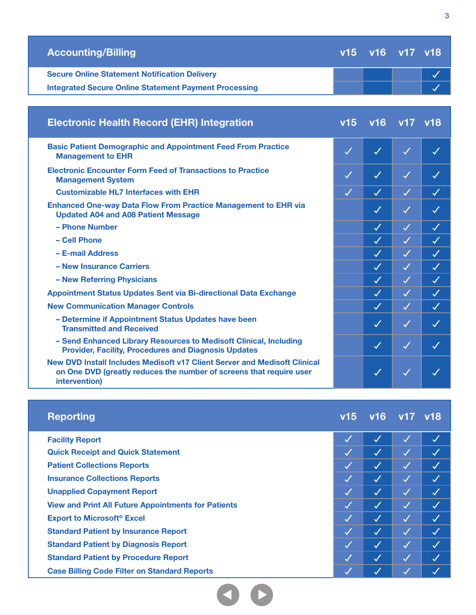| <b>Accounting/Billing</b>                                                                                                                                         |              | v15 v16 v17 v18 |              |                      |
|-------------------------------------------------------------------------------------------------------------------------------------------------------------------|--------------|-----------------|--------------|----------------------|
| <b>Secure Online Statement Notification Delivery</b>                                                                                                              |              |                 |              | $\checkmark$         |
| <b>Integrated Secure Online Statement Payment Processing</b>                                                                                                      |              |                 |              |                      |
|                                                                                                                                                                   |              |                 |              |                      |
| <b>Electronic Health Record (EHR) Integration</b>                                                                                                                 | v15          | v16             | v17 v18      |                      |
| <b>Basic Patient Demographic and Appointment Feed From Practice</b><br><b>Management to EHR</b>                                                                   | $\checkmark$ | $\checkmark$    | $\checkmark$ | $\checkmark$         |
| <b>Electronic Encounter Form Feed of Transactions to Practice</b><br><b>Management System</b>                                                                     | $\checkmark$ | $\checkmark$    | $\checkmark$ | $\checkmark$         |
| <b>Customizable HL7 Interfaces with EHR</b>                                                                                                                       | $\checkmark$ | $\checkmark$    | $\checkmark$ | $\checkmark$         |
| <b>Enhanced One-way Data Flow From Practice Management to EHR via</b><br><b>Updated A04 and A08 Patient Message</b>                                               |              | $\checkmark$    | $\checkmark$ | $\checkmark$         |
| - Phone Number                                                                                                                                                    |              | $\checkmark$    | $\checkmark$ | $\blacktriangledown$ |
| - Cell Phone                                                                                                                                                      |              | $\checkmark$    | $\checkmark$ | $\checkmark$         |
| - E-mail Address                                                                                                                                                  |              | $\checkmark$    | $\checkmark$ | $\checkmark$         |
| - New Insurance Carriers                                                                                                                                          |              | $\checkmark$    | $\checkmark$ | $\checkmark$         |
| - New Referring Physicians                                                                                                                                        |              | $\checkmark$    | $\checkmark$ | $\checkmark$         |
| Appointment Status Updates Sent via Bi-directional Data Exchange                                                                                                  |              | $\checkmark$    | $\checkmark$ | $\checkmark$         |
| <b>New Communication Manager Controls</b>                                                                                                                         |              | $\checkmark$    | $\checkmark$ | $\checkmark$         |
| - Determine if Appointment Status Updates have been<br><b>Transmitted and Received</b>                                                                            |              | $\checkmark$    | $\checkmark$ | $\checkmark$         |
| - Send Enhanced Library Resources to Medisoft Clinical, Including<br><b>Provider, Facility, Procedures and Diagnosis Updates</b>                                  |              | $\checkmark$    | $\checkmark$ | $\checkmark$         |
| New DVD Install Includes Medisoft v17 Client Server and Medisoft Clinical<br>on One DVD (greatly reduces the number of screens that require user<br>intervention) |              | $\checkmark$    |              |                      |
|                                                                                                                                                                   |              |                 |              |                      |
| <b>Reporting</b>                                                                                                                                                  | v15          |                 | v16 v17 v18  |                      |

| <b>Facility Report</b>                                     |                          |                          | $\checkmark$               |              |
|------------------------------------------------------------|--------------------------|--------------------------|----------------------------|--------------|
| <b>Quick Receipt and Quick Statement</b>                   | M                        | $\checkmark$             | $\boldsymbol{\mathcal{J}}$ |              |
| <b>Patient Collections Reports</b>                         | K. T                     | I J                      | $\overline{\mathcal{A}}$   |              |
| <b>Insurance Collections Reports</b>                       | $\checkmark$             | $\checkmark$             | 1.7                        | $\checkmark$ |
| <b>Unapplied Copayment Report</b>                          | M                        | $\overline{\mathcal{A}}$ | <b>A</b>                   |              |
| <b>View and Print All Future Appointments for Patients</b> | $\overline{\mathcal{A}}$ | $\overline{\mathcal{A}}$ | $\overline{\mathcal{A}}$   |              |
| <b>Export to Microsoft<sup>®</sup> Excel</b>               | $\overline{\mathcal{A}}$ | I Л                      | 1.7                        |              |
| <b>Standard Patient by Insurance Report</b>                | $\boldsymbol{Z}$         | $\overline{\mathcal{A}}$ | <b>A</b>                   |              |
| <b>Standard Patient by Diagnosis Report</b>                | $\checkmark$             | $\overline{\mathcal{A}}$ | 1.7                        |              |
| <b>Standard Patient by Procedure Report</b>                | $\overline{\mathcal{A}}$ | $\overline{\mathcal{A}}$ | <b>A</b>                   |              |
| <b>Case Billing Code Filter on Standard Reports</b>        |                          |                          |                            |              |

00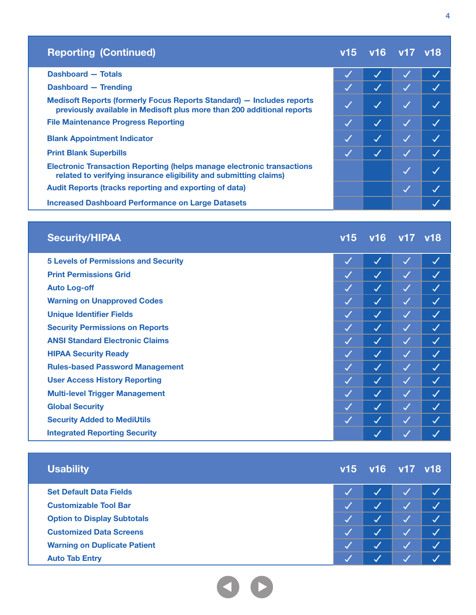| <b>Reporting (Continued)</b>                                                                                                                       | v15          | $\sqrt{16}$ v17 v18 |  |
|----------------------------------------------------------------------------------------------------------------------------------------------------|--------------|---------------------|--|
| Dashboard - Totals                                                                                                                                 |              |                     |  |
| <b>Dashboard - Trending</b>                                                                                                                        |              |                     |  |
| Medisoft Reports (formerly Focus Reports Standard) - Includes reports<br>previously available in Medisoft plus more than 200 additional reports    |              | $\checkmark$        |  |
| <b>File Maintenance Progress Reporting</b>                                                                                                         | $\checkmark$ | $\checkmark$        |  |
| <b>Blank Appointment Indicator</b>                                                                                                                 | $\checkmark$ | $\checkmark$        |  |
| <b>Print Blank Superbills</b>                                                                                                                      |              |                     |  |
| <b>Electronic Transaction Reporting (helps manage electronic transactions</b><br>related to verifying insurance eligibility and submitting claims) |              |                     |  |
| <b>Audit Reports (tracks reporting and exporting of data)</b>                                                                                      |              |                     |  |
| <b>Increased Dashboard Performance on Large Datasets</b>                                                                                           |              |                     |  |

| <b>Security/HIPAA</b>                       | v15          |                         | v16 v17 v18  |              |
|---------------------------------------------|--------------|-------------------------|--------------|--------------|
| <b>5 Levels of Permissions and Security</b> | $\checkmark$ | $\checkmark$            | $\checkmark$ | $\checkmark$ |
| <b>Print Permissions Grid</b>               | $\checkmark$ | $\checkmark$            | $\checkmark$ | $\checkmark$ |
| <b>Auto Log-off</b>                         | $\checkmark$ | $\checkmark$            | $\checkmark$ | $\checkmark$ |
| <b>Warning on Unapproved Codes</b>          | $\checkmark$ | $\checkmark$            | $\checkmark$ | $\checkmark$ |
| <b>Unique Identifier Fields</b>             | $\checkmark$ | $\overline{\checkmark}$ | $\checkmark$ | $\checkmark$ |
| <b>Security Permissions on Reports</b>      | $\checkmark$ | $\checkmark$            | $\checkmark$ | $\checkmark$ |
| <b>ANSI Standard Electronic Claims</b>      | $\checkmark$ | $\checkmark$            | $\checkmark$ | $\checkmark$ |
| <b>HIPAA Security Ready</b>                 | $\checkmark$ | $\checkmark$            | $\checkmark$ | $\checkmark$ |
| <b>Rules-based Password Management</b>      | $\checkmark$ | $\checkmark$            | $\checkmark$ | $\checkmark$ |
| <b>User Access History Reporting</b>        | $\checkmark$ | $\checkmark$            | $\checkmark$ | $\checkmark$ |
| <b>Multi-level Trigger Management</b>       | $\checkmark$ | $\checkmark$            | $\checkmark$ | $\checkmark$ |
| <b>Global Security</b>                      | $\checkmark$ | $\checkmark$            | $\checkmark$ | $\checkmark$ |
| <b>Security Added to MediUtils</b>          | $\checkmark$ | $\checkmark$            | $\checkmark$ | $\checkmark$ |
| <b>Integrated Reporting Security</b>        |              | $\checkmark$            | $\checkmark$ |              |

| <b>Usability</b>                    |   | v15 v16 v17 v18 |        |  |
|-------------------------------------|---|-----------------|--------|--|
| <b>Set Default Data Fields</b>      |   |                 |        |  |
| <b>Customizable Tool Bar</b>        |   |                 | $\sim$ |  |
| <b>Option to Display Subtotals</b>  |   |                 | $\sim$ |  |
| <b>Customized Data Screens</b>      |   |                 |        |  |
| <b>Warning on Duplicate Patient</b> | Ø |                 | $\sim$ |  |
| <b>Auto Tab Entry</b>               |   |                 |        |  |

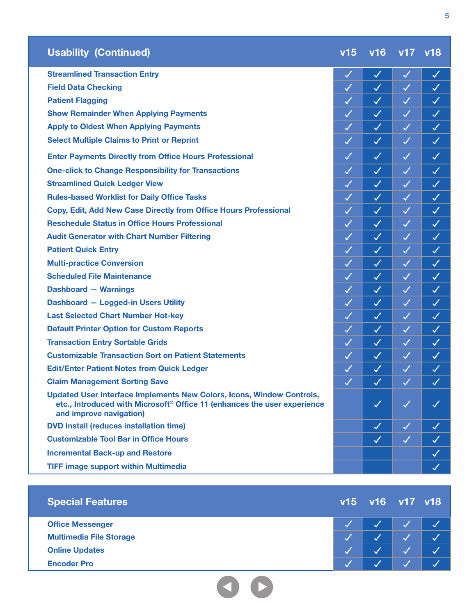| <b>Usability (Continued)</b>                  | v15 v16 v17 v18 |  |
|-----------------------------------------------|-----------------|--|
| <b>Streamlined Transaction Entry</b>          |                 |  |
| <b>Field Data Checking</b>                    |                 |  |
| <b>Patient Flagging</b>                       |                 |  |
| <b>Show Remainder When Applying Payments</b>  |                 |  |
| <b>Apply to Oldest When Applying Payments</b> |                 |  |

**Select Multiple Claims to Print or Reprint**

**Enter Payments Directly from Office Hours Professional**

**One-click to Change Responsibility for Transactions**

**Streamlined Quick Ledger View**

**Rules-based Worklist for Daily Office Tasks**

**Copy, Edit, Add New Case Directly from Office Hours Professional**

**Reschedule Status in Office Hours Professional**

**Audit Generator with Chart Number Filtering**

**Patient Quick Entry**

**Multi-practice Conversion**

**Scheduled File Maintenance**

**Dashboard — Warnings**

**Dashboard — Logged-in Users Utility**

**Last Selected Chart Number Hot-key**

**Default Printer Option for Custom Reports**

**Transaction Entry Sortable Grids**

**Customizable Transaction Sort on Patient Statements**

**Edit/Enter Patient Notes from Quick Ledger**

**Claim Management Sorting Save**

**Updated User Interface Implements New Colors, Icons, Window Controls, etc., Introduced with Microsoft® Office 11 (enhances the user experience and improve navigation)** 

**DVD Install (reduces installation time)**

**Customizable Tool Bar in Office Hours**

**Incremental Back-up and Restore**

**TIFF image support within Multimedia**

| <b>Special Features</b>        | v15 v16 v17 v18 |  |
|--------------------------------|-----------------|--|
| <b>Office Messenger</b>        |                 |  |
| <b>Multimedia File Storage</b> |                 |  |
| <b>Online Updates</b>          |                 |  |
| <b>Encoder Pro</b>             |                 |  |



 $\checkmark$ 

 $\mathcal{L}^{\perp}$  $\checkmark$ 

 $\checkmark$ 

 $\checkmark$ 

 $\checkmark$ 

 $\checkmark$ 

 $\checkmark$ 

 $\checkmark$ 

 $\checkmark$  $\checkmark$ 

 $\checkmark$ 

 $\checkmark$ 

 $\overline{\mathcal{L}}$ 

 $\checkmark$ 

 $\mathcal{L}^{\mathcal{A}}$ 

 $\checkmark$ 

 $\checkmark$  $\checkmark$ 

 $\checkmark$  $\checkmark$ 

 $\checkmark$ 

 $\checkmark$ 

 $\checkmark$ 

 $\checkmark$ 

 $\checkmark$  $\checkmark$ 

 $\checkmark$  $\checkmark$ 

 $\checkmark$ 

 $\checkmark$ 

 $\checkmark$ 

 $\checkmark$ 

 $\mathcal{J}$ 

 $\checkmark$ 

 $\checkmark$ 

 $\checkmark$ 

 $\checkmark$ 

 $\checkmark$ 

 $\checkmark$ 

 $\checkmark$ 

 $\checkmark$ 

 $\checkmark$ 

 $\checkmark$ 

 $\checkmark$ 

 $\overline{\mathscr{S}}$ 

 $\checkmark$ 

 $\checkmark$ 

 $\checkmark$ 

 $\checkmark$ 

 $\checkmark$ 

 $\checkmark$ 

 $\checkmark$ 

 $\overline{\mathcal{L}}$ 

 $\checkmark$ 

 $\mathcal{L}$ 

 $\checkmark$ 

 $\checkmark$ 

 $\checkmark$ 

 $\checkmark$ 

 $\checkmark$ 

 $\checkmark$ 

 $\checkmark$ 

 $\checkmark$ 

 $\checkmark$ 

 $\checkmark$ 

 $\checkmark$ 

 $\overline{\mathscr{S}}$ 

 $\checkmark$ 

 $\checkmark$  $\checkmark$ 

 $\checkmark$ 

 $\checkmark$ 

 $\checkmark$ 

 $\checkmark$ 

 $\checkmark$ 

 $\checkmark$ 

 $\checkmark$ 

 $\checkmark$ 

 $\checkmark$ 

 $\checkmark$ 

 $\overline{\mathscr{S}}$ 

 $\checkmark$ 

 $\checkmark$ 

 $\checkmark$ 

 $\checkmark$ 

 $\overline{\mathcal{L}}$ 

 $\checkmark$ 

 $\checkmark$ 

 $\checkmark$